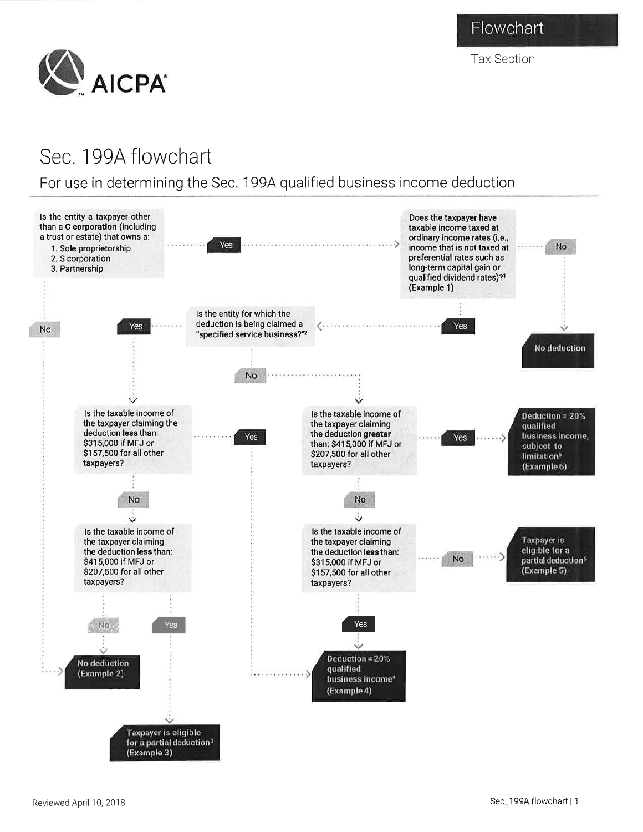Flowchart

Tax Section



## Sec. 199A flowchart

## For use in determining the Sec. 1994 qualified business income deduction